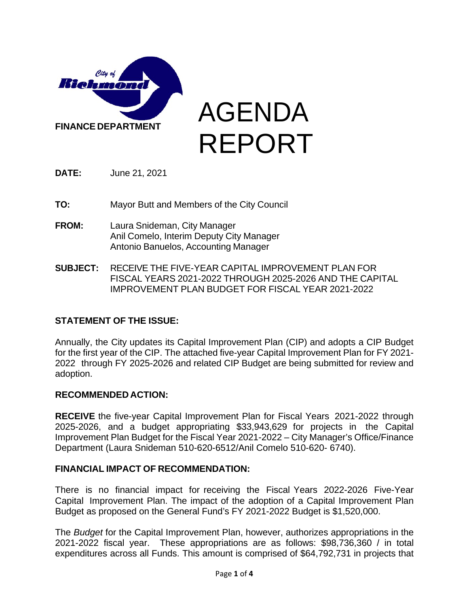

AGENDA REPORT

**DATE:** June 21, 2021

**TO:** Mayor Butt and Members of the City Council

- **FROM:** Laura Snideman, City Manager Anil Comelo, Interim Deputy City Manager Antonio Banuelos, Accounting Manager
- **SUBJECT:** RECEIVE THE FIVE-YEAR CAPITAL IMPROVEMENT PLAN FOR FISCAL YEARS 2021-2022 THROUGH 2025-2026 AND THE CAPITAL IMPROVEMENT PLAN BUDGET FOR FISCAL YEAR 2021-2022

# **STATEMENT OF THE ISSUE:**

Annually, the City updates its Capital Improvement Plan (CIP) and adopts a CIP Budget for the first year of the CIP. The attached five-year Capital Improvement Plan for FY 2021- 2022 through FY 2025-2026 and related CIP Budget are being submitted for review and adoption.

# **RECOMMENDED ACTION:**

**RECEIVE** the five-year Capital Improvement Plan for Fiscal Years 2021-2022 through 2025-2026, and a budget appropriating \$33,943,629 for projects in the Capital Improvement Plan Budget for the Fiscal Year 2021-2022 – City Manager's Office/Finance Department (Laura Snideman 510-620-6512/Anil Comelo 510-620- 6740).

### **FINANCIAL IMPACT OF RECOMMENDATION:**

There is no financial impact for receiving the Fiscal Years 2022-2026 Five-Year Capital Improvement Plan. The impact of the adoption of a Capital Improvement Plan Budget as proposed on the General Fund's FY 2021-2022 Budget is \$1,520,000.

The *Budget* for the Capital Improvement Plan, however, authorizes appropriations in the 2021-2022 fiscal year. These appropriations are as follows: \$98,736,360 / in total expenditures across all Funds. This amount is comprised of \$64,792,731 in projects that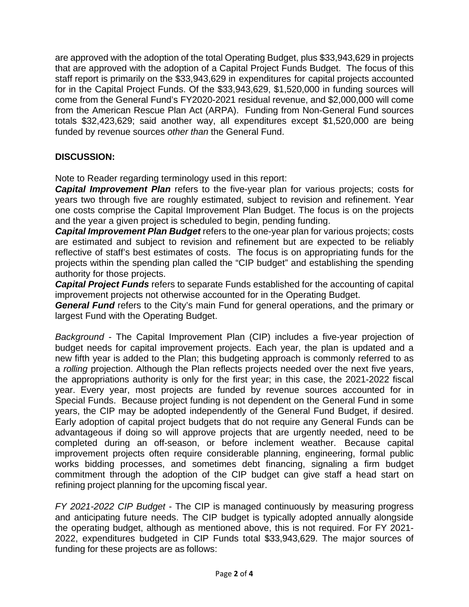are approved with the adoption of the total Operating Budget, plus \$33,943,629 in projects that are approved with the adoption of a Capital Project Funds Budget. The focus of this staff report is primarily on the \$33,943,629 in expenditures for capital projects accounted for in the Capital Project Funds. Of the \$33,943,629, \$1,520,000 in funding sources will come from the General Fund's FY2020-2021 residual revenue, and \$2,000,000 will come from the American Rescue Plan Act (ARPA). Funding from Non-General Fund sources totals \$32,423,629; said another way, all expenditures except \$1,520,000 are being funded by revenue sources *other than* the General Fund.

# **DISCUSSION:**

Note to Reader regarding terminology used in this report:

**Capital Improvement Plan** refers to the five-year plan for various projects; costs for years two through five are roughly estimated, subject to revision and refinement. Year one costs comprise the Capital Improvement Plan Budget. The focus is on the projects and the year a given project is scheduled to begin, pending funding.

*Capital Improvement Plan Budget* refers to the one-year plan for various projects; costs are estimated and subject to revision and refinement but are expected to be reliably reflective of staff's best estimates of costs. The focus is on appropriating funds for the projects within the spending plan called the "CIP budget" and establishing the spending authority for those projects.

*Capital Project Funds* refers to separate Funds established for the accounting of capital improvement projects not otherwise accounted for in the Operating Budget.

*General Fund* refers to the City's main Fund for general operations, and the primary or largest Fund with the Operating Budget.

*Background* - The Capital Improvement Plan (CIP) includes a five-year projection of budget needs for capital improvement projects. Each year, the plan is updated and a new fifth year is added to the Plan; this budgeting approach is commonly referred to as a *rolling* projection. Although the Plan reflects projects needed over the next five years, the appropriations authority is only for the first year; in this case, the 2021-2022 fiscal year. Every year, most projects are funded by revenue sources accounted for in Special Funds. Because project funding is not dependent on the General Fund in some years, the CIP may be adopted independently of the General Fund Budget, if desired. Early adoption of capital project budgets that do not require any General Funds can be advantageous if doing so will approve projects that are urgently needed, need to be completed during an off-season, or before inclement weather. Because capital improvement projects often require considerable planning, engineering, formal public works bidding processes, and sometimes debt financing, signaling a firm budget commitment through the adoption of the CIP budget can give staff a head start on refining project planning for the upcoming fiscal year.

*FY 2021-2022 CIP Budget* - The CIP is managed continuously by measuring progress and anticipating future needs. The CIP budget is typically adopted annually alongside the operating budget, although as mentioned above, this is not required. For FY 2021- 2022, expenditures budgeted in CIP Funds total \$33,943,629. The major sources of funding for these projects are as follows: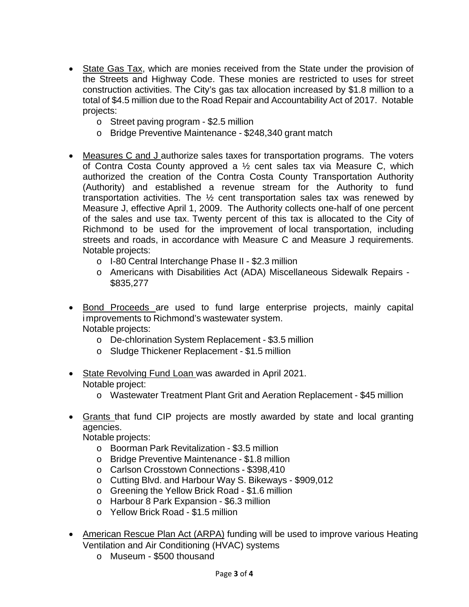- State Gas Tax, which are monies received from the State under the provision of the Streets and Highway Code. These monies are restricted to uses for street construction activities. The City's gas tax allocation increased by \$1.8 million to a total of \$4.5 million due to the Road Repair and Accountability Act of 2017. Notable projects:
	- o Street paving program \$2.5 million
	- o Bridge Preventive Maintenance \$248,340 grant match
- Measures C and J authorize sales taxes for transportation programs. The voters of Contra Costa County approved a ½ cent sales tax via Measure C, which authorized the creation of the Contra Costa County Transportation Authority (Authority) and established a revenue stream for the Authority to fund transportation activities. The ½ cent transportation sales tax was renewed by Measure J, effective April 1, 2009. The Authority collects one-half of one percent of the sales and use tax. Twenty percent of this tax is allocated to the City of Richmond to be used for the improvement of local transportation, including streets and roads, in accordance with Measure C and Measure J requirements. Notable projects:
	- o I-80 Central Interchange Phase II \$2.3 million
	- o Americans with Disabilities Act (ADA) Miscellaneous Sidewalk Repairs \$835,277
- Bond Proceeds are used to fund large enterprise projects, mainly capital improvements to Richmond's wastewater system. Notable projects:
	- o De-chlorination System Replacement \$3.5 million
	- o Sludge Thickener Replacement \$1.5 million
- State Revolving Fund Loan was awarded in April 2021. Notable project:
	- o Wastewater Treatment Plant Grit and Aeration Replacement \$45 million
- Grants that fund CIP projects are mostly awarded by state and local granting agencies.

Notable projects:

- o Boorman Park Revitalization \$3.5 million
- o Bridge Preventive Maintenance \$1.8 million
- o Carlson Crosstown Connections \$398,410
- o Cutting Blvd. and Harbour Way S. Bikeways \$909,012
- o Greening the Yellow Brick Road \$1.6 million
- o Harbour 8 Park Expansion \$6.3 million
- o Yellow Brick Road \$1.5 million
- American Rescue Plan Act (ARPA) funding will be used to improve various Heating Ventilation and Air Conditioning (HVAC) systems
	- o Museum \$500 thousand